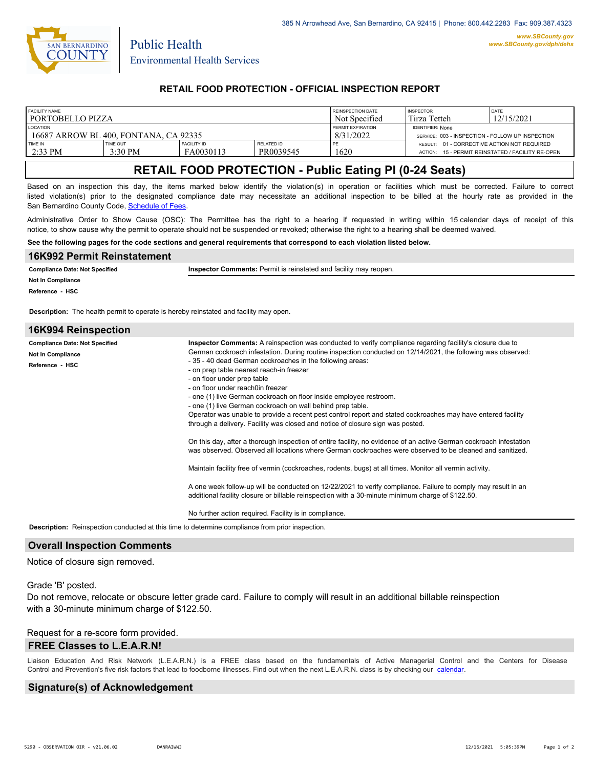

Public Health

## **RETAIL FOOD PROTECTION - OFFICIAL INSPECTION REPORT**

| <b>FACILITY NAME</b><br>l portobello pizza               |                                      |                                 |                                | <b>REINSPECTION DATE</b><br>Not Specified | <b>INSPECTOR</b><br>Tirza Tetteh                                            | <b>DATE</b><br>12/15/2021                 |
|----------------------------------------------------------|--------------------------------------|---------------------------------|--------------------------------|-------------------------------------------|-----------------------------------------------------------------------------|-------------------------------------------|
| <b>LOCATION</b><br>16687 ARROW BL 400, FONTANA, CA 92335 |                                      |                                 |                                | PERMIT EXPIRATION<br>8/31/2022            | <b>IDENTIFIER: None</b><br>SERVICE: 003 - INSPECTION - FOLLOW UP INSPECTION |                                           |
| TIME IN<br>$2:33$ PM                                     | <b>TIME OUT</b><br>$3:30 \text{ PM}$ | <b>FACILITY ID</b><br>FA0030113 | <b>RELATED ID</b><br>PR0039545 | 1620                                      | RESULT: 01 - CORRECTIVE ACTION NOT REQUIRED<br>ACTION:                      | 15 - PERMIT REINSTATED / FACILITY RE-OPEN |

# **RETAIL FOOD PROTECTION - Public Eating Pl (0-24 Seats)**

Based on an inspection this day, the items marked below identify the violation(s) in operation or facilities which must be corrected. Failure to correct listed violation(s) prior to the designated compliance date may necessitate an additional inspection to be billed at the hourly rate as provided in the San Bernardino County Code, Schedule of Fees

Administrative Order to Show Cause (OSC): The Permittee has the right to a hearing if requested in writing within 15 calendar days of receipt of this notice, to show cause why the permit to operate should not be suspended or revoked; otherwise the right to a hearing shall be deemed waived.

**See the following pages for the code sections and general requirements that correspond to each violation listed below.**

| 16K992 Permit Reinstatement                                                                  |                                                                                                                                                                                                                    |  |  |  |  |
|----------------------------------------------------------------------------------------------|--------------------------------------------------------------------------------------------------------------------------------------------------------------------------------------------------------------------|--|--|--|--|
| <b>Compliance Date: Not Specified</b>                                                        | Inspector Comments: Permit is reinstated and facility may reopen.                                                                                                                                                  |  |  |  |  |
| <b>Not In Compliance</b>                                                                     |                                                                                                                                                                                                                    |  |  |  |  |
| Reference - HSC                                                                              |                                                                                                                                                                                                                    |  |  |  |  |
| <b>Description:</b> The health permit to operate is hereby reinstated and facility may open. |                                                                                                                                                                                                                    |  |  |  |  |
| 16K994 Reinspection                                                                          |                                                                                                                                                                                                                    |  |  |  |  |
| <b>Compliance Date: Not Specified</b>                                                        | Inspector Comments: A reinspection was conducted to verify compliance regarding facility's closure due to                                                                                                          |  |  |  |  |
| <b>Not In Compliance</b>                                                                     | German cockroach infestation. During routine inspection conducted on 12/14/2021, the following was observed:<br>- 35 - 40 dead German cockroaches in the following areas:                                          |  |  |  |  |
| Reference - HSC                                                                              | - on prep table nearest reach-in freezer                                                                                                                                                                           |  |  |  |  |
|                                                                                              | - on floor under prep table                                                                                                                                                                                        |  |  |  |  |
|                                                                                              | - on floor under reach0in freezer                                                                                                                                                                                  |  |  |  |  |
|                                                                                              | - one (1) live German cockroach on floor inside employee restroom.<br>- one (1) live German cockroach on wall behind prep table.                                                                                   |  |  |  |  |
|                                                                                              | Operator was unable to provide a recent pest control report and stated cockroaches may have entered facility                                                                                                       |  |  |  |  |
|                                                                                              | through a delivery. Facility was closed and notice of closure sign was posted.                                                                                                                                     |  |  |  |  |
|                                                                                              | On this day, after a thorough inspection of entire facility, no evidence of an active German cockroach infestation                                                                                                 |  |  |  |  |
|                                                                                              | was observed. Observed all locations where German cockroaches were observed to be cleaned and sanitized.                                                                                                           |  |  |  |  |
|                                                                                              | Maintain facility free of vermin (cockroaches, rodents, bugs) at all times. Monitor all vermin activity.                                                                                                           |  |  |  |  |
|                                                                                              | A one week follow-up will be conducted on 12/22/2021 to verify compliance. Failure to comply may result in an<br>additional facility closure or billable reinspection with a 30-minute minimum charge of \$122.50. |  |  |  |  |
|                                                                                              | No further action required. Facility is in compliance.                                                                                                                                                             |  |  |  |  |

**Description:** Reinspection conducted at this time to determine compliance from prior inspection.

### **Overall Inspection Comments**

Notice of closure sign removed.

#### Grade 'B' posted.

Do not remove, relocate or obscure letter grade card. Failure to comply will result in an additional billable reinspection with a 30-minute minimum charge of \$122.50.

#### Request for a re-score form provided.

### **FREE Classes to L.E.A.R.N!**

Liaison Education And Risk Network (L.E.A.R.N.) is a FREE class based on the fundamentals of Active Managerial Control and [the Centers](http://wp.sbcounty.gov/dph/events/) for Disease Control and Prevention's five risk factors that lead to foodborne illnesses. Find out when the next L.E.A.R.N. class is by checking our calendar

## **Signature(s) of Acknowledgement**